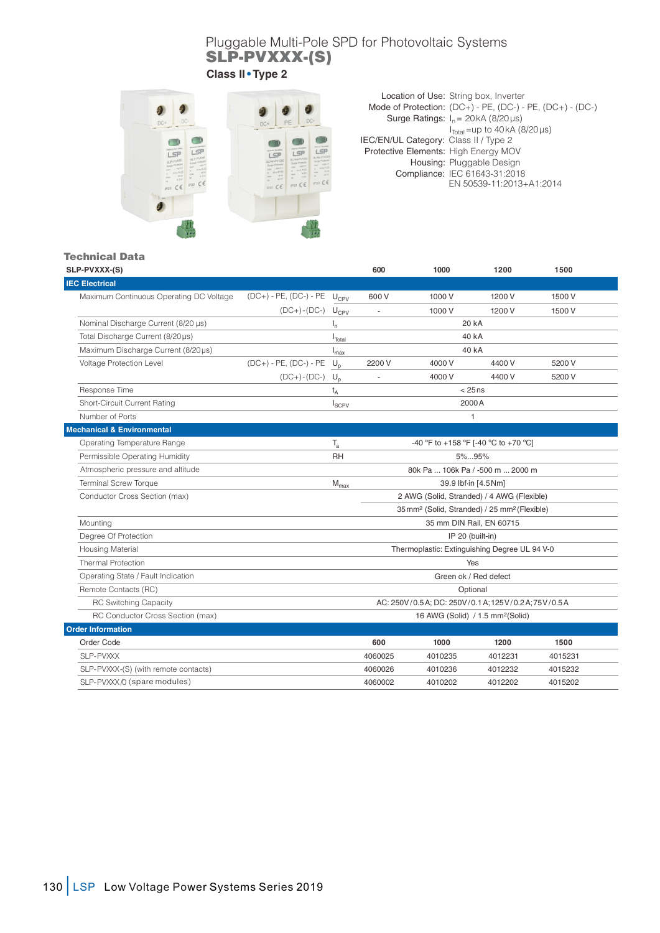## Pluggable Multi-Pole SPD for Photovoltaic Systems SLP-PVXXX-(S)

**Class II • Type 2** 



Surge Ratings:  $I_n = 20kA (8/20 \mu s)$ Location of Use: String box, Inverter Mode of Protection: (DC+) - PE, (DC-) - PE, (DC+) - (DC-)  $I<sub>Total</sub>$ =up to 40 kA (8/20 µs) Protective Elements: High Energy MOV Housing: Pluggable Design Compliance: IEC 61643-31:2018 EN 50539-11:2013+A1:2014 IEC/EN/UL Category: Class II / Type 2

## Technical Data

| SLP-PVXXX-(S)                           |                                      |                                                 | 600                                                                  | 1000      | 1200    | 1500    |  |
|-----------------------------------------|--------------------------------------|-------------------------------------------------|----------------------------------------------------------------------|-----------|---------|---------|--|
| <b>IEC Electrical</b>                   |                                      |                                                 |                                                                      |           |         |         |  |
| Maximum Continuous Operating DC Voltage | $(DC+)$ - PE, $(DC-)$ - PE $U_{CPV}$ |                                                 | 600 V                                                                | 1000 V    | 1200 V  | 1500 V  |  |
|                                         | $(DC+)$ - $(DC-)$ $U_{CPV}$          |                                                 |                                                                      | 1000 V    | 1200 V  | 1500 V  |  |
| Nominal Discharge Current (8/20 µs)     |                                      | ı,                                              |                                                                      | 20 kA     |         |         |  |
| Total Discharge Current (8/20µs)        |                                      | $I_{\text{Total}}$                              |                                                                      | 40 kA     |         |         |  |
| Maximum Discharge Current (8/20µs)      |                                      | <sup>I</sup> max                                |                                                                      | 40 kA     |         |         |  |
| Voltage Protection Level                | $(DC+)$ - PE, $(DC-)$ - PE           | $U_{p}$                                         | 2200 V                                                               | 4000 V    | 4400 V  | 5200 V  |  |
|                                         | $(DC+)$ - $(DC-)$ $U_p$              |                                                 |                                                                      | 4000V     | 4400 V  | 5200 V  |  |
| Response Time                           |                                      | $t_A$                                           |                                                                      | $< 25$ ns |         |         |  |
| Short-Circuit Current Rating            |                                      | $I_{SCPV}$                                      | 2000 A                                                               |           |         |         |  |
| Number of Ports                         |                                      |                                                 | 1                                                                    |           |         |         |  |
| <b>Mechanical &amp; Environmental</b>   |                                      |                                                 |                                                                      |           |         |         |  |
| Operating Temperature Range             |                                      | $T_{a}$<br>-40 °F to +158 °F [-40 °C to +70 °C] |                                                                      |           |         |         |  |
| Permissible Operating Humidity          |                                      | <b>RH</b>                                       | $5\%95\%$                                                            |           |         |         |  |
| Atmospheric pressure and altitude       |                                      |                                                 | 80k Pa  106k Pa / -500 m  2000 m                                     |           |         |         |  |
| <b>Terminal Screw Torque</b>            |                                      | $M_{\text{max}}$                                | 39.9 lbf-in [4.5 Nm]                                                 |           |         |         |  |
| Conductor Cross Section (max)           |                                      |                                                 | 2 AWG (Solid, Stranded) / 4 AWG (Flexible)                           |           |         |         |  |
|                                         |                                      |                                                 | 35 mm <sup>2</sup> (Solid, Stranded) / 25 mm <sup>2</sup> (Flexible) |           |         |         |  |
| Mounting                                |                                      |                                                 | 35 mm DIN Rail, EN 60715                                             |           |         |         |  |
| Degree Of Protection                    |                                      |                                                 | IP 20 (built-in)                                                     |           |         |         |  |
| <b>Housing Material</b>                 |                                      |                                                 | Thermoplastic: Extinguishing Degree UL 94 V-0                        |           |         |         |  |
| <b>Thermal Protection</b>               |                                      | Yes                                             |                                                                      |           |         |         |  |
| Operating State / Fault Indication      |                                      |                                                 | Green ok / Red defect                                                |           |         |         |  |
| Remote Contacts (RC)                    |                                      |                                                 | Optional                                                             |           |         |         |  |
| <b>RC Switching Capacity</b>            |                                      |                                                 | AC: 250V/0.5A; DC: 250V/0.1A; 125V/0.2A; 75V/0.5A                    |           |         |         |  |
| RC Conductor Cross Section (max)        |                                      |                                                 | 16 AWG (Solid) / 1.5 mm <sup>2</sup> (Solid)                         |           |         |         |  |
| <b>Order Information</b>                |                                      |                                                 |                                                                      |           |         |         |  |
| Order Code                              |                                      |                                                 | 600                                                                  | 1000      | 1200    | 1500    |  |
| SLP-PVXXX                               |                                      |                                                 | 4060025                                                              | 4010235   | 4012231 | 4015231 |  |
| SLP-PVXXX-(S) (with remote contacts)    |                                      |                                                 | 4060026                                                              | 4010236   | 4012232 | 4015232 |  |
| SLP-PVXXX/0 (spare modules)             |                                      |                                                 | 4060002                                                              | 4010202   | 4012202 | 4015202 |  |